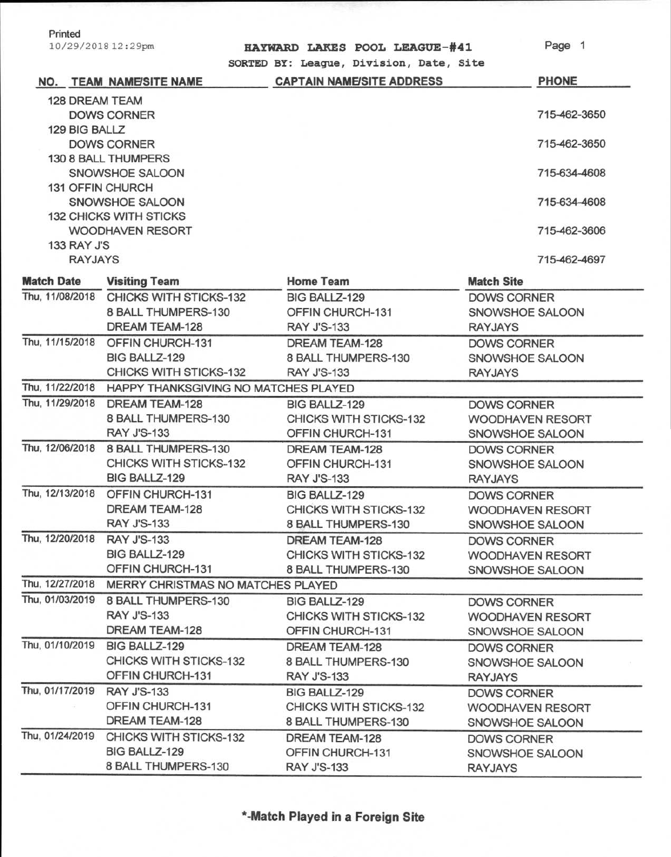| Printed            |  |
|--------------------|--|
| 10/29/2018 12:29pm |  |

|  |  |  | HAYWARD LAKES POOL LEAGUE-#41 |
|--|--|--|-------------------------------|
|--|--|--|-------------------------------|

**SORTED BY: League, Division, Date, Site** 

Page 1

|                    | <b>NO. TEAM NAME/SITE NAME</b>                       | SURIED DI. League, DIVISION, Date, SILE<br><b>CAPTAIN NAME/SITE ADDRESS</b> | <b>PHONE</b>            |  |  |
|--------------------|------------------------------------------------------|-----------------------------------------------------------------------------|-------------------------|--|--|
| 128 DREAM TEAM     |                                                      |                                                                             |                         |  |  |
|                    | <b>DOWS CORNER</b>                                   |                                                                             | 715-462-3650            |  |  |
| 129 BIG BALLZ      |                                                      |                                                                             |                         |  |  |
|                    | <b>DOWS CORNER</b>                                   |                                                                             | 715-462-3650            |  |  |
|                    | 130 8 BALL THUMPERS                                  |                                                                             |                         |  |  |
|                    | SNOWSHOE SALOON                                      |                                                                             | 715-634-4608            |  |  |
|                    | <b>131 OFFIN CHURCH</b>                              |                                                                             |                         |  |  |
|                    | SNOWSHOE SALOON                                      |                                                                             | 715-634-4608            |  |  |
|                    | <b>132 CHICKS WITH STICKS</b>                        |                                                                             |                         |  |  |
|                    | <b>WOODHAVEN RESORT</b>                              |                                                                             | 715-462-3606            |  |  |
| <b>133 RAY J'S</b> |                                                      |                                                                             |                         |  |  |
| <b>RAYJAYS</b>     |                                                      |                                                                             | 715-462-4697            |  |  |
| <b>Match Date</b>  | <b>Visiting Team</b>                                 | <b>Home Team</b>                                                            | <b>Match Site</b>       |  |  |
| Thu, 11/08/2018    | <b>CHICKS WITH STICKS-132</b>                        | BIG BALLZ-129                                                               | <b>DOWS CORNER</b>      |  |  |
|                    | 8 BALL THUMPERS-130                                  | OFFIN CHURCH-131                                                            | SNOWSHOE SALOON         |  |  |
|                    | DREAM TEAM-128                                       | <b>RAY J'S-133</b>                                                          | <b>RAYJAYS</b>          |  |  |
| Thu, 11/15/2018    | OFFIN CHURCH-131                                     | <b>DREAM TEAM-128</b>                                                       | <b>DOWS CORNER</b>      |  |  |
|                    | BIG BALLZ-129                                        | 8 BALL THUMPERS-130                                                         | SNOWSHOE SALOON         |  |  |
|                    | CHICKS WITH STICKS-132                               | <b>RAY J'S-133</b>                                                          | <b>RAYJAYS</b>          |  |  |
|                    | Thu, 11/22/2018 HAPPY THANKSGIVING NO MATCHES PLAYED |                                                                             |                         |  |  |
| Thu, 11/29/2018    | <b>DREAM TEAM-128</b>                                | BIG BALLZ-129                                                               | <b>DOWS CORNER</b>      |  |  |
|                    | 8 BALL THUMPERS-130                                  | <b>CHICKS WITH STICKS-132</b>                                               | <b>WOODHAVEN RESORT</b> |  |  |
|                    | <b>RAY J'S-133</b>                                   | OFFIN CHURCH-131                                                            | SNOWSHOE SALOON         |  |  |
| Thu, 12/06/2018    | 8 BALL THUMPERS-130                                  | DREAM TEAM-128                                                              | <b>DOWS CORNER</b>      |  |  |
|                    | CHICKS WITH STICKS-132                               | OFFIN CHURCH-131                                                            | SNOWSHOE SALOON         |  |  |
|                    | BIG BALLZ-129                                        | <b>RAY J'S-133</b>                                                          | <b>RAYJAYS</b>          |  |  |
| Thu, 12/13/2018    | OFFIN CHURCH-131                                     | BIG BALLZ-129                                                               | <b>DOWS CORNER</b>      |  |  |
|                    | DREAM TEAM-128                                       | <b>CHICKS WITH STICKS-132</b>                                               | <b>WOODHAVEN RESORT</b> |  |  |
|                    | <b>RAY J'S-133</b>                                   | 8 BALL THUMPERS-130                                                         | SNOWSHOE SALOON         |  |  |
| Thu, 12/20/2018    | <b>RAY J'S-133</b>                                   | <b>DREAM TEAM-128</b>                                                       | <b>DOWS CORNER</b>      |  |  |
|                    | <b>BIG BALLZ-129</b>                                 | CHICKS WITH STICKS-132                                                      | WOODHAVEN RESORT        |  |  |
|                    | OFFIN CHURCH-131                                     | 8 BALL THUMPERS-130                                                         | SNOWSHOE SALOON         |  |  |
| Thu, 12/27/2018    | MERRY CHRISTMAS NO MATCHES PLAYED                    |                                                                             |                         |  |  |
| Thu, 01/03/2019    | 8 BALL THUMPERS-130                                  | BIG BALLZ-129                                                               | <b>DOWS CORNER</b>      |  |  |
|                    | <b>RAY J'S-133</b>                                   | <b>CHICKS WITH STICKS-132</b>                                               | WOODHAVEN RESORT        |  |  |
|                    | DREAM TEAM-128                                       | OFFIN CHURCH-131                                                            | SNOWSHOE SALOON         |  |  |
| Thu, 01/10/2019    | BIG BALLZ-129                                        | <b>DREAM TEAM-128</b>                                                       | <b>DOWS CORNER</b>      |  |  |
|                    | <b>CHICKS WITH STICKS-132</b>                        | 8 BALL THUMPERS-130                                                         | SNOWSHOE SALOON         |  |  |
|                    | OFFIN CHURCH-131                                     | <b>RAY J'S-133</b>                                                          | <b>RAYJAYS</b>          |  |  |
| Thu, 01/17/2019    | <b>RAY J'S-133</b>                                   | BIG BALLZ-129                                                               | <b>DOWS CORNER</b>      |  |  |
|                    | OFFIN CHURCH-131                                     | CHICKS WITH STICKS-132                                                      | WOODHAVEN RESORT        |  |  |
|                    | DREAM TEAM-128                                       | 8 BALL THUMPERS-130                                                         | SNOWSHOE SALOON         |  |  |
| Thu, 01/24/2019    | CHICKS WITH STICKS-132                               | DREAM TEAM-128                                                              | <b>DOWS CORNER</b>      |  |  |
|                    | BIG BALLZ-129                                        | OFFIN CHURCH-131                                                            | SNOWSHOE SALOON         |  |  |
|                    | 8 BALL THUMPERS-130                                  | <b>RAY J'S-133</b>                                                          | <b>RAYJAYS</b>          |  |  |
|                    |                                                      |                                                                             |                         |  |  |